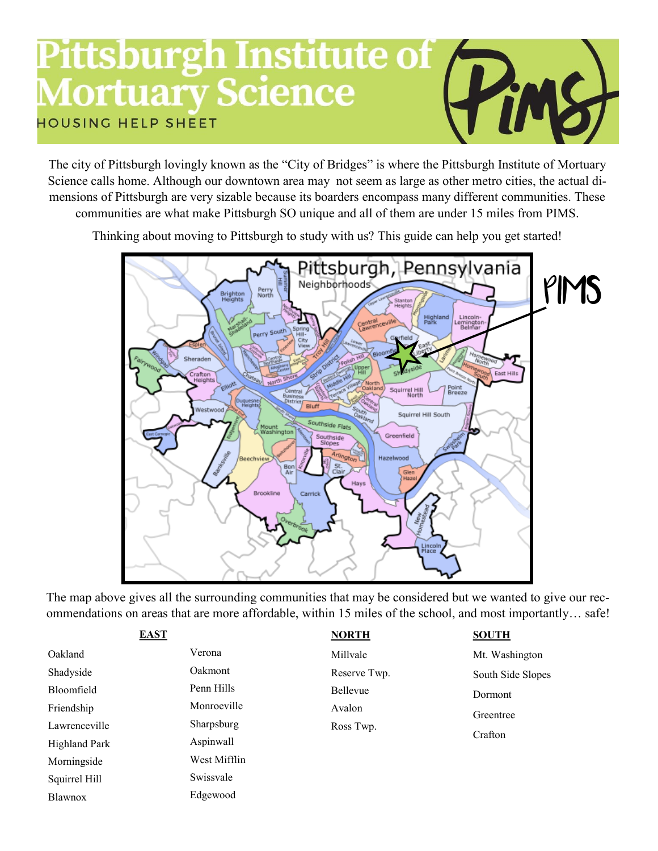## **Pittsburgh Institute of J Mortuary Science HOUSING HELP SHEET**

The city of Pittsburgh lovingly known as the "City of Bridges" is where the Pittsburgh Institute of Mortuary Science calls home. Although our downtown area may not seem as large as other metro cities, the actual dimensions of Pittsburgh are very sizable because its boarders encompass many different communities. These communities are what make Pittsburgh SO unique and all of them are under 15 miles from PIMS.

Thinking about moving to Pittsburgh to study with us? This guide can help you get started!



The map above gives all the surrounding communities that may be considered but we wanted to give our recommendations on areas that are more affordable, within 15 miles of the school, and most importantly… safe!

| <b>EAST</b>   |              | <b>NORTH</b> | <b>SOUTH</b>      |
|---------------|--------------|--------------|-------------------|
| Oakland       | Verona       | Millvale     | Mt. Washington    |
| Shadyside     | Oakmont      | Reserve Twp. | South Side Slopes |
| Bloomfield    | Penn Hills   | Bellevue     | Dormont           |
| Friendship    | Monroeville  | Avalon       | Greentree         |
| Lawrenceville | Sharpsburg   | Ross Twp.    |                   |
| Highland Park | Aspinwall    |              | Crafton           |
| Morningside   | West Mifflin |              |                   |
| Squirrel Hill | Swissvale    |              |                   |

Edgewood

Blawnox